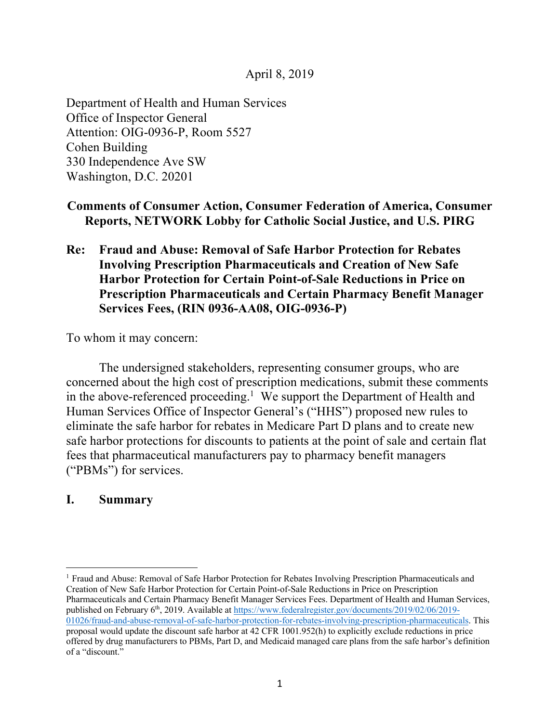April 8, 2019

Department of Health and Human Services Office of Inspector General Attention: OIG-0936-P, Room 5527 Cohen Building 330 Independence Ave SW Washington, D.C. 20201

# **Comments of Consumer Action, Consumer Federation of America, Consumer Reports, NETWORK Lobby for Catholic Social Justice, and U.S. PIRG**

**Re: Fraud and Abuse: Removal of Safe Harbor Protection for Rebates Involving Prescription Pharmaceuticals and Creation of New Safe Harbor Protection for Certain Point-of-Sale Reductions in Price on Prescription Pharmaceuticals and Certain Pharmacy Benefit Manager Services Fees, (RIN 0936-AA08, OIG-0936-P)**

To whom it may concern:

The undersigned stakeholders, representing consumer groups, who are concerned about the high cost of prescription medications, submit these comments in the above-referenced proceeding.<sup>1</sup> We support the Department of Health and Human Services Office of Inspector General's ("HHS") proposed new rules to eliminate the safe harbor for rebates in Medicare Part D plans and to create new safe harbor protections for discounts to patients at the point of sale and certain flat fees that pharmaceutical manufacturers pay to pharmacy benefit managers ("PBMs") for services.

## **I. Summary**

<sup>1</sup> Fraud and Abuse: Removal of Safe Harbor Protection for Rebates Involving Prescription Pharmaceuticals and Creation of New Safe Harbor Protection for Certain Point-of-Sale Reductions in Price on Prescription Pharmaceuticals and Certain Pharmacy Benefit Manager Services Fees. Department of Health and Human Services, published on February 6<sup>th</sup>, 2019. Available at https://www.federalregister.gov/documents/2019/02/06/2019-01026/fraud-and-abuse-removal-of-safe-harbor-protection-for-rebates-involving-prescription-pharmaceuticals. This proposal would update the discount safe harbor at 42 CFR 1001.952(h) to explicitly exclude reductions in price offered by drug manufacturers to PBMs, Part D, and Medicaid managed care plans from the safe harbor's definition of a "discount."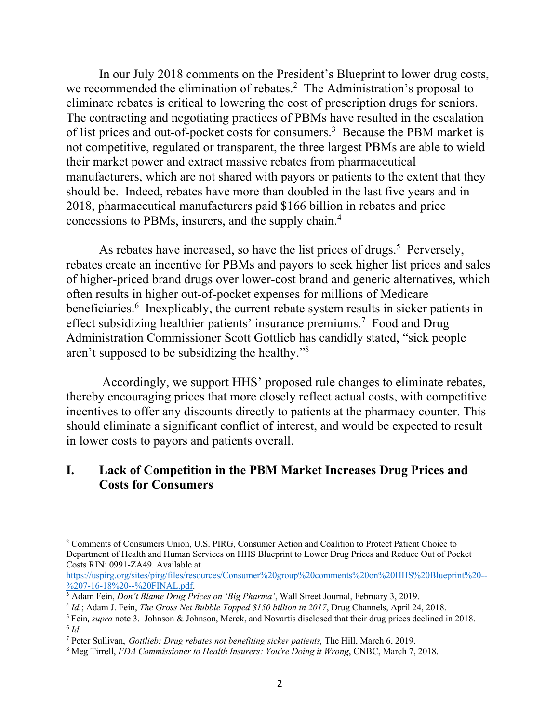In our July 2018 comments on the President's Blueprint to lower drug costs, we recommended the elimination of rebates.<sup>2</sup> The Administration's proposal to eliminate rebates is critical to lowering the cost of prescription drugs for seniors. The contracting and negotiating practices of PBMs have resulted in the escalation of list prices and out-of-pocket costs for consumers.<sup>3</sup> Because the PBM market is not competitive, regulated or transparent, the three largest PBMs are able to wield their market power and extract massive rebates from pharmaceutical manufacturers, which are not shared with payors or patients to the extent that they should be. Indeed, rebates have more than doubled in the last five years and in 2018, pharmaceutical manufacturers paid \$166 billion in rebates and price concessions to PBMs, insurers, and the supply chain. 4

As rebates have increased, so have the list prices of drugs.<sup>5</sup> Perversely, rebates create an incentive for PBMs and payors to seek higher list prices and sales of higher-priced brand drugs over lower-cost brand and generic alternatives, which often results in higher out-of-pocket expenses for millions of Medicare beneficiaries.<sup>6</sup> Inexplicably, the current rebate system results in sicker patients in effect subsidizing healthier patients' insurance premiums.<sup>7</sup> Food and Drug Administration Commissioner Scott Gottlieb has candidly stated, "sick people aren't supposed to be subsidizing the healthy."8

Accordingly, we support HHS' proposed rule changes to eliminate rebates, thereby encouraging prices that more closely reflect actual costs, with competitive incentives to offer any discounts directly to patients at the pharmacy counter. This should eliminate a significant conflict of interest, and would be expected to result in lower costs to payors and patients overall.

### **I. Lack of Competition in the PBM Market Increases Drug Prices and Costs for Consumers**

<sup>2</sup> Comments of Consumers Union, U.S. PIRG, Consumer Action and Coalition to Protect Patient Choice to Department of Health and Human Services on HHS Blueprint to Lower Drug Prices and Reduce Out of Pocket Costs RIN: 0991-ZA49. Available at

https://uspirg.org/sites/pirg/files/resources/Consumer%20group%20comments%20on%20HHS%20Blueprint%20-- %207-16-18%20--%20FINAL.pdf.

<sup>3</sup> Adam Fein, *Don't Blame Drug Prices on 'Big Pharma'*, Wall Street Journal, February 3, 2019.

<sup>4</sup> *Id.*; Adam J. Fein, *The Gross Net Bubble Topped \$150 billion in 2017*, Drug Channels, April 24, 2018.

<sup>5</sup> Fein, *supra* note 3. Johnson & Johnson, Merck, and Novartis disclosed that their drug prices declined in 2018.  $6$   $Id.$ 

<sup>7</sup> Peter Sullivan, *Gottlieb: Drug rebates not benefiting sicker patients,* The Hill, March 6, 2019.

<sup>8</sup> Meg Tirrell, *FDA Commissioner to Health Insurers: You're Doing it Wrong*, CNBC, March 7, 2018.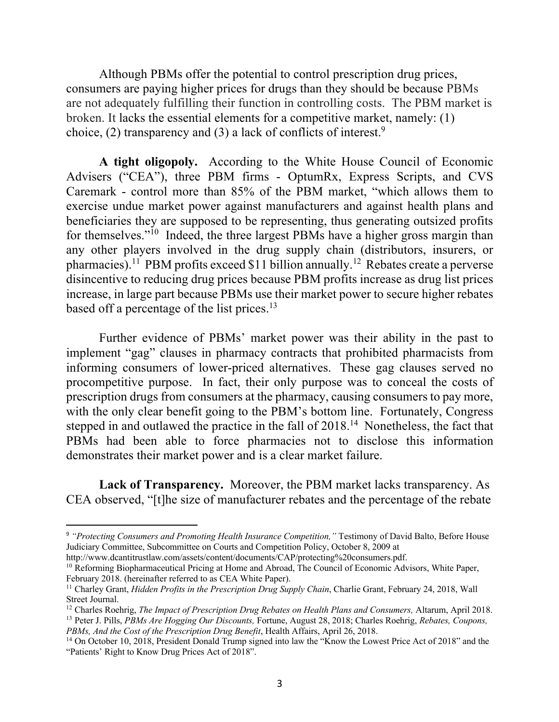Although PBMs offer the potential to control prescription drug prices, consumers are paying higher prices for drugs than they should be because PBMs are not adequately fulfilling their function in controlling costs. The PBM market is broken. It lacks the essential elements for a competitive market, namely: (1) choice, (2) transparency and (3) a lack of conflicts of interest.<sup>9</sup>

**A tight oligopoly.** According to the White House Council of Economic Advisers ("CEA"), three PBM firms - OptumRx, Express Scripts, and CVS Caremark - control more than 85% of the PBM market, "which allows them to exercise undue market power against manufacturers and against health plans and beneficiaries they are supposed to be representing, thus generating outsized profits for themselves."10 Indeed, the three largest PBMs have a higher gross margin than any other players involved in the drug supply chain (distributors, insurers, or pharmacies).<sup>11</sup> PBM profits exceed \$11 billion annually.<sup>12</sup> Rebates create a perverse disincentive to reducing drug prices because PBM profits increase as drug list prices increase, in large part because PBMs use their market power to secure higher rebates based off a percentage of the list prices.<sup>13</sup>

Further evidence of PBMs' market power was their ability in the past to implement "gag" clauses in pharmacy contracts that prohibited pharmacists from informing consumers of lower-priced alternatives. These gag clauses served no procompetitive purpose. In fact, their only purpose was to conceal the costs of prescription drugs from consumers at the pharmacy, causing consumers to pay more, with the only clear benefit going to the PBM's bottom line. Fortunately, Congress stepped in and outlawed the practice in the fall of 2018.<sup>14</sup> Nonetheless, the fact that PBMs had been able to force pharmacies not to disclose this information demonstrates their market power and is a clear market failure.

**Lack of Transparency.** Moreover, the PBM market lacks transparency. As CEA observed, "[t]he size of manufacturer rebates and the percentage of the rebate

 <sup>9</sup> *"Protecting Consumers and Promoting Health Insurance Competition,"* Testimony of David Balto, Before House Judiciary Committee, Subcommittee on Courts and Competition Policy, October 8, 2009 at

http://www.dcantitrustlaw.com/assets/content/documents/CAP/protecting%20consumers.pdf.

<sup>&</sup>lt;sup>10</sup> Reforming Biopharmaceutical Pricing at Home and Abroad, The Council of Economic Advisors, White Paper, February 2018. (hereinafter referred to as CEA White Paper).

<sup>11</sup> Charley Grant, *Hidden Profits in the Prescription Drug Supply Chain*, Charlie Grant, February 24, 2018, Wall Street Journal.

<sup>&</sup>lt;sup>12</sup> Charles Roehrig, *The Impact of Prescription Drug Rebates on Health Plans and Consumers*, Altarum, April 2018. <sup>13</sup> Peter J. Pills, *PBMs Are Hogging Our Discounts,* Fortune, August 28, 2018; Charles Roehrig, *Rebates, Coupons, PBMs, And the Cost of the Prescription Drug Benefit*, Health Affairs, April 26, 2018.

<sup>&</sup>lt;sup>14</sup> On October 10, 2018, President Donald Trump signed into law the "Know the Lowest Price Act of 2018" and the "Patients' Right to Know Drug Prices Act of 2018".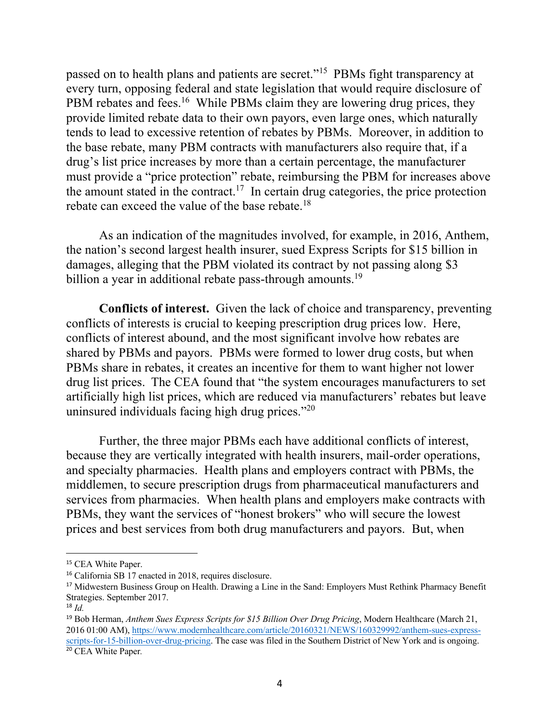passed on to health plans and patients are secret."15 PBMs fight transparency at every turn, opposing federal and state legislation that would require disclosure of PBM rebates and fees.<sup>16</sup> While PBMs claim they are lowering drug prices, they provide limited rebate data to their own payors, even large ones, which naturally tends to lead to excessive retention of rebates by PBMs. Moreover, in addition to the base rebate, many PBM contracts with manufacturers also require that, if a drug's list price increases by more than a certain percentage, the manufacturer must provide a "price protection" rebate, reimbursing the PBM for increases above the amount stated in the contract.<sup>17</sup> In certain drug categories, the price protection rebate can exceed the value of the base rebate.<sup>18</sup>

As an indication of the magnitudes involved, for example, in 2016, Anthem, the nation's second largest health insurer, sued Express Scripts for \$15 billion in damages, alleging that the PBM violated its contract by not passing along \$3 billion a year in additional rebate pass-through amounts.<sup>19</sup>

**Conflicts of interest.** Given the lack of choice and transparency, preventing conflicts of interests is crucial to keeping prescription drug prices low. Here, conflicts of interest abound, and the most significant involve how rebates are shared by PBMs and payors. PBMs were formed to lower drug costs, but when PBMs share in rebates, it creates an incentive for them to want higher not lower drug list prices. The CEA found that "the system encourages manufacturers to set artificially high list prices, which are reduced via manufacturers' rebates but leave uninsured individuals facing high drug prices."<sup>20</sup>

Further, the three major PBMs each have additional conflicts of interest, because they are vertically integrated with health insurers, mail-order operations, and specialty pharmacies. Health plans and employers contract with PBMs, the middlemen, to secure prescription drugs from pharmaceutical manufacturers and services from pharmacies. When health plans and employers make contracts with PBMs, they want the services of "honest brokers" who will secure the lowest prices and best services from both drug manufacturers and payors. But, when

<sup>&</sup>lt;sup>15</sup> CEA White Paper.

<sup>16</sup> California SB 17 enacted in 2018, requires disclosure.

<sup>&</sup>lt;sup>17</sup> Midwestern Business Group on Health. Drawing a Line in the Sand: Employers Must Rethink Pharmacy Benefit Strategies. September 2017. 18 *Id.*

<sup>19</sup> Bob Herman, *Anthem Sues Express Scripts for \$15 Billion Over Drug Pricing*, Modern Healthcare (March 21, 2016 01:00 AM), https://www.modernhealthcare.com/article/20160321/NEWS/160329992/anthem-sues-expressscripts-for-15-billion-over-drug-pricing. The case was filed in the Southern District of New York and is ongoing. <sup>20</sup> CEA White Paper*.*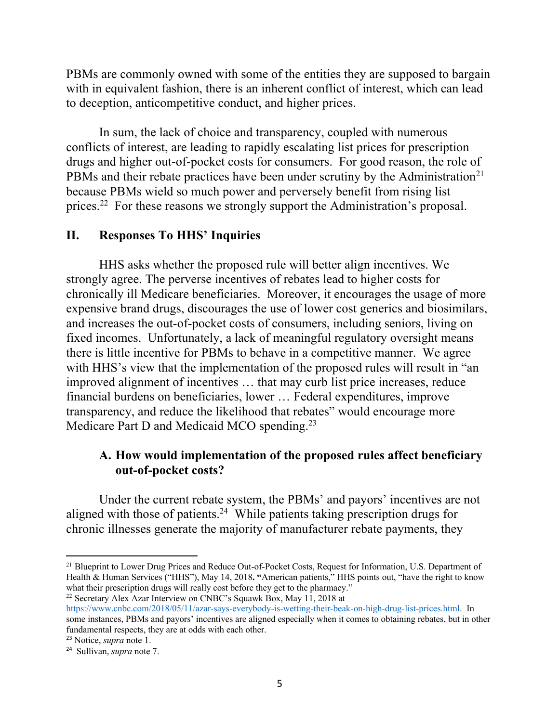PBMs are commonly owned with some of the entities they are supposed to bargain with in equivalent fashion, there is an inherent conflict of interest, which can lead to deception, anticompetitive conduct, and higher prices.

In sum, the lack of choice and transparency, coupled with numerous conflicts of interest, are leading to rapidly escalating list prices for prescription drugs and higher out-of-pocket costs for consumers. For good reason, the role of PBMs and their rebate practices have been under scrutiny by the Administration<sup>21</sup> because PBMs wield so much power and perversely benefit from rising list prices.22 For these reasons we strongly support the Administration's proposal.

#### **II. Responses To HHS' Inquiries**

HHS asks whether the proposed rule will better align incentives. We strongly agree. The perverse incentives of rebates lead to higher costs for chronically ill Medicare beneficiaries. Moreover, it encourages the usage of more expensive brand drugs, discourages the use of lower cost generics and biosimilars, and increases the out-of-pocket costs of consumers, including seniors, living on fixed incomes. Unfortunately, a lack of meaningful regulatory oversight means there is little incentive for PBMs to behave in a competitive manner. We agree with HHS's view that the implementation of the proposed rules will result in "an improved alignment of incentives … that may curb list price increases, reduce financial burdens on beneficiaries, lower … Federal expenditures, improve transparency, and reduce the likelihood that rebates" would encourage more Medicare Part D and Medicaid MCO spending.<sup>23</sup>

## **A. How would implementation of the proposed rules affect beneficiary out-of-pocket costs?**

Under the current rebate system, the PBMs' and payors' incentives are not aligned with those of patients.<sup>24</sup> While patients taking prescription drugs for chronic illnesses generate the majority of manufacturer rebate payments, they

<sup>22</sup> Secretary Alex Azar Interview on CNBC's Squawk Box, May 11, 2018 at https://www.cnbc.com/2018/05/11/azar-says-everybody-is-wetting-their-beak-on-high-drug-list-prices.html. In some instances, PBMs and payors' incentives are aligned especially when it comes to obtaining rebates, but in other

<sup>&</sup>lt;sup>21</sup> Blueprint to Lower Drug Prices and Reduce Out-of-Pocket Costs, Request for Information, U.S. Department of Health & Human Services ("HHS"), May 14, 2018**. "**American patients," HHS points out, "have the right to know what their prescription drugs will really cost before they get to the pharmacy."

fundamental respects, they are at odds with each other. <sup>23</sup> Notice, *supra* note 1.

<sup>24</sup> Sullivan, *supra* note 7.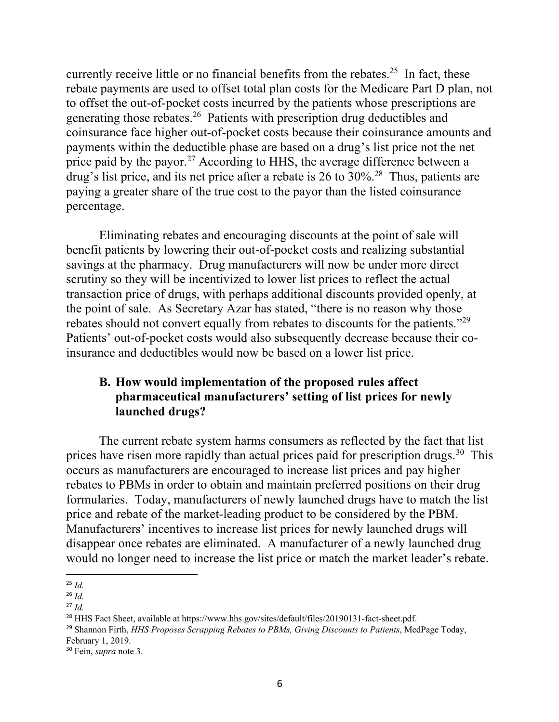currently receive little or no financial benefits from the rebates.<sup>25</sup> In fact, these rebate payments are used to offset total plan costs for the Medicare Part D plan, not to offset the out-of-pocket costs incurred by the patients whose prescriptions are generating those rebates.26 Patients with prescription drug deductibles and coinsurance face higher out-of-pocket costs because their coinsurance amounts and payments within the deductible phase are based on a drug's list price not the net price paid by the payor.<sup>27</sup> According to HHS, the average difference between a drug's list price, and its net price after a rebate is 26 to 30%<sup>28</sup>. Thus, patients are paying a greater share of the true cost to the payor than the listed coinsurance percentage.

Eliminating rebates and encouraging discounts at the point of sale will benefit patients by lowering their out-of-pocket costs and realizing substantial savings at the pharmacy. Drug manufacturers will now be under more direct scrutiny so they will be incentivized to lower list prices to reflect the actual transaction price of drugs, with perhaps additional discounts provided openly, at the point of sale. As Secretary Azar has stated, "there is no reason why those rebates should not convert equally from rebates to discounts for the patients."29 Patients' out-of-pocket costs would also subsequently decrease because their coinsurance and deductibles would now be based on a lower list price.

# **B. How would implementation of the proposed rules affect pharmaceutical manufacturers' setting of list prices for newly launched drugs?**

The current rebate system harms consumers as reflected by the fact that list prices have risen more rapidly than actual prices paid for prescription drugs.<sup>30</sup> This occurs as manufacturers are encouraged to increase list prices and pay higher rebates to PBMs in order to obtain and maintain preferred positions on their drug formularies. Today, manufacturers of newly launched drugs have to match the list price and rebate of the market-leading product to be considered by the PBM. Manufacturers' incentives to increase list prices for newly launched drugs will disappear once rebates are eliminated. A manufacturer of a newly launched drug would no longer need to increase the list price or match the market leader's rebate.

 <sup>25</sup> *Id.*

<sup>26</sup> *Id.*

<sup>27</sup> *Id.*

<sup>&</sup>lt;sup>28</sup> HHS Fact Sheet, available at https://www.hhs.gov/sites/default/files/20190131-fact-sheet.pdf.

<sup>29</sup> Shannon Firth, *HHS Proposes Scrapping Rebates to PBMs, Giving Discounts to Patients*, MedPage Today, February 1, 2019.

<sup>30</sup> Fein, *supra* note 3.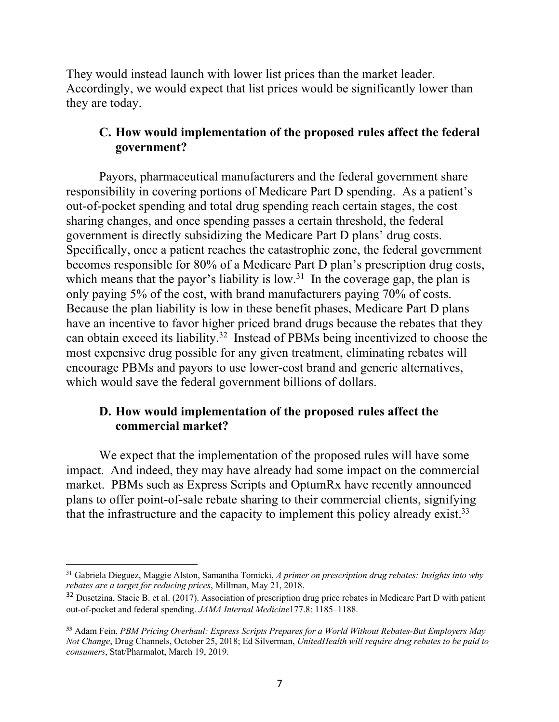They would instead launch with lower list prices than the market leader. Accordingly, we would expect that list prices would be significantly lower than they are today.

## **C. How would implementation of the proposed rules affect the federal government?**

Payors, pharmaceutical manufacturers and the federal government share responsibility in covering portions of Medicare Part D spending. As a patient's out-of-pocket spending and total drug spending reach certain stages, the cost sharing changes, and once spending passes a certain threshold, the federal government is directly subsidizing the Medicare Part D plans' drug costs. Specifically, once a patient reaches the catastrophic zone, the federal government becomes responsible for 80% of a Medicare Part D plan's prescription drug costs, which means that the payor's liability is low.<sup>31</sup> In the coverage gap, the plan is only paying 5% of the cost, with brand manufacturers paying 70% of costs. Because the plan liability is low in these benefit phases, Medicare Part D plans have an incentive to favor higher priced brand drugs because the rebates that they can obtain exceed its liability.32 Instead of PBMs being incentivized to choose the most expensive drug possible for any given treatment, eliminating rebates will encourage PBMs and payors to use lower-cost brand and generic alternatives, which would save the federal government billions of dollars.

### **D. How would implementation of the proposed rules affect the commercial market?**

We expect that the implementation of the proposed rules will have some impact. And indeed, they may have already had some impact on the commercial market. PBMs such as Express Scripts and OptumRx have recently announced plans to offer point-of-sale rebate sharing to their commercial clients, signifying that the infrastructure and the capacity to implement this policy already exist.<sup>33</sup>

<sup>31</sup> Gabriela Dieguez, Maggie Alston, Samantha Tomicki, *A primer on prescription drug rebates: Insights into why rebates are a target for reducing prices*, Millman, May 21, 2018.

<sup>&</sup>lt;sup>32</sup> Dusetzina, Stacie B. et al. (2017). Association of prescription drug price rebates in Medicare Part D with patient out-of-pocket and federal spending. *JAMA Internal Medicine*177.8: 1185–1188.

**<sup>33</sup>** Adam Fein, *PBM Pricing Overhaul: Express Scripts Prepares for a World Without Rebates-But Employers May Not Change*, Drug Channels, October 25, 2018; Ed Silverman, *UnitedHealth will require drug rebates to be paid to consumers*, Stat/Pharmalot, March 19, 2019.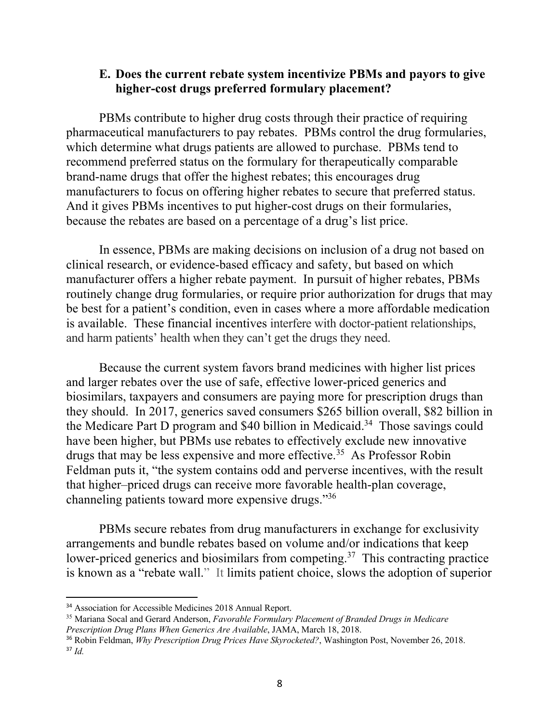### **E. Does the current rebate system incentivize PBMs and payors to give higher-cost drugs preferred formulary placement?**

PBMs contribute to higher drug costs through their practice of requiring pharmaceutical manufacturers to pay rebates. PBMs control the drug formularies, which determine what drugs patients are allowed to purchase. PBMs tend to recommend preferred status on the formulary for therapeutically comparable brand-name drugs that offer the highest rebates; this encourages drug manufacturers to focus on offering higher rebates to secure that preferred status. And it gives PBMs incentives to put higher-cost drugs on their formularies, because the rebates are based on a percentage of a drug's list price.

In essence, PBMs are making decisions on inclusion of a drug not based on clinical research, or evidence-based efficacy and safety, but based on which manufacturer offers a higher rebate payment. In pursuit of higher rebates, PBMs routinely change drug formularies, or require prior authorization for drugs that may be best for a patient's condition, even in cases where a more affordable medication is available. These financial incentives interfere with doctor-patient relationships, and harm patients' health when they can't get the drugs they need.

Because the current system favors brand medicines with higher list prices and larger rebates over the use of safe, effective lower-priced generics and biosimilars, taxpayers and consumers are paying more for prescription drugs than they should. In 2017, generics saved consumers \$265 billion overall, \$82 billion in the Medicare Part D program and  $$40$  billion in Medicaid.<sup>34</sup> Those savings could have been higher, but PBMs use rebates to effectively exclude new innovative drugs that may be less expensive and more effective.<sup>35</sup> As Professor Robin Feldman puts it, "the system contains odd and perverse incentives, with the result that higher*–*priced drugs can receive more favorable health-plan coverage, channeling patients toward more expensive drugs."36

PBMs secure rebates from drug manufacturers in exchange for exclusivity arrangements and bundle rebates based on volume and/or indications that keep lower-priced generics and biosimilars from competing.37 This contracting practice is known as a "rebate wall." It limits patient choice, slows the adoption of superior

 <sup>34</sup> Association for Accessible Medicines 2018 Annual Report.

<sup>35</sup> Mariana Socal and Gerard Anderson, *Favorable Formulary Placement of Branded Drugs in Medicare Prescription Drug Plans When Generics Are Available*, JAMA, March 18, 2018.

<sup>36</sup> Robin Feldman, *Why Prescription Drug Prices Have Skyrocketed?*, Washington Post, November 26, 2018.  $37$  *Id.*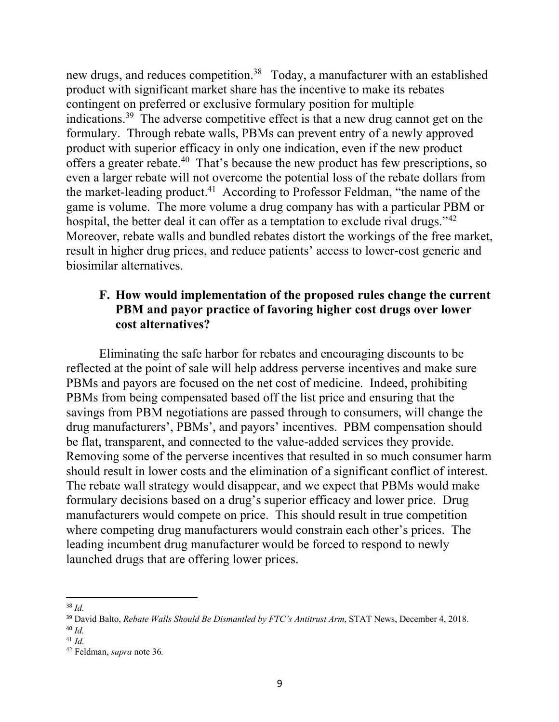new drugs, and reduces competition.<sup>38</sup> Today, a manufacturer with an established product with significant market share has the incentive to make its rebates contingent on preferred or exclusive formulary position for multiple indications.39 The adverse competitive effect is that a new drug cannot get on the formulary. Through rebate walls, PBMs can prevent entry of a newly approved product with superior efficacy in only one indication, even if the new product offers a greater rebate.40 That's because the new product has few prescriptions, so even a larger rebate will not overcome the potential loss of the rebate dollars from the market-leading product.<sup>41</sup> According to Professor Feldman, "the name of the game is volume. The more volume a drug company has with a particular PBM or hospital, the better deal it can offer as a temptation to exclude rival drugs."<sup>42</sup> Moreover, rebate walls and bundled rebates distort the workings of the free market, result in higher drug prices, and reduce patients' access to lower-cost generic and biosimilar alternatives.

### **F. How would implementation of the proposed rules change the current PBM and payor practice of favoring higher cost drugs over lower cost alternatives?**

Eliminating the safe harbor for rebates and encouraging discounts to be reflected at the point of sale will help address perverse incentives and make sure PBMs and payors are focused on the net cost of medicine. Indeed, prohibiting PBMs from being compensated based off the list price and ensuring that the savings from PBM negotiations are passed through to consumers, will change the drug manufacturers', PBMs', and payors' incentives. PBM compensation should be flat, transparent, and connected to the value-added services they provide. Removing some of the perverse incentives that resulted in so much consumer harm should result in lower costs and the elimination of a significant conflict of interest. The rebate wall strategy would disappear, and we expect that PBMs would make formulary decisions based on a drug's superior efficacy and lower price. Drug manufacturers would compete on price. This should result in true competition where competing drug manufacturers would constrain each other's prices. The leading incumbent drug manufacturer would be forced to respond to newly launched drugs that are offering lower prices.

 <sup>38</sup> *Id.*

<sup>39</sup> David Balto, *Rebate Walls Should Be Dismantled by FTC's Antitrust Arm*, STAT News, December 4, 2018.

<sup>40</sup> *Id.*

<sup>41</sup> *Id.*

<sup>42</sup> Feldman, *supra* note 36*.*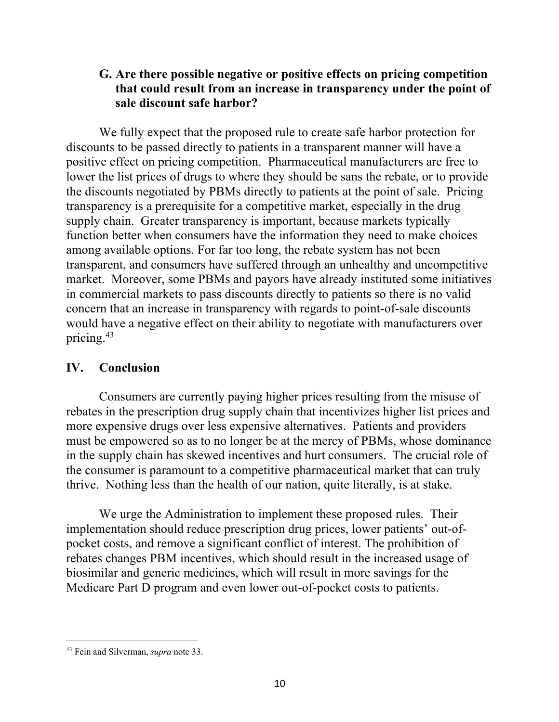# **G. Are there possible negative or positive effects on pricing competition that could result from an increase in transparency under the point of sale discount safe harbor?**

We fully expect that the proposed rule to create safe harbor protection for discounts to be passed directly to patients in a transparent manner will have a positive effect on pricing competition. Pharmaceutical manufacturers are free to lower the list prices of drugs to where they should be sans the rebate, or to provide the discounts negotiated by PBMs directly to patients at the point of sale. Pricing transparency is a prerequisite for a competitive market, especially in the drug supply chain. Greater transparency is important, because markets typically function better when consumers have the information they need to make choices among available options. For far too long, the rebate system has not been transparent, and consumers have suffered through an unhealthy and uncompetitive market. Moreover, some PBMs and payors have already instituted some initiatives in commercial markets to pass discounts directly to patients so there is no valid concern that an increase in transparency with regards to point-of-sale discounts would have a negative effect on their ability to negotiate with manufacturers over pricing.43

## **IV. Conclusion**

Consumers are currently paying higher prices resulting from the misuse of rebates in the prescription drug supply chain that incentivizes higher list prices and more expensive drugs over less expensive alternatives. Patients and providers must be empowered so as to no longer be at the mercy of PBMs, whose dominance in the supply chain has skewed incentives and hurt consumers. The crucial role of the consumer is paramount to a competitive pharmaceutical market that can truly thrive. Nothing less than the health of our nation, quite literally, is at stake.

We urge the Administration to implement these proposed rules. Their implementation should reduce prescription drug prices, lower patients' out-ofpocket costs, and remove a significant conflict of interest. The prohibition of rebates changes PBM incentives, which should result in the increased usage of biosimilar and generic medicines, which will result in more savings for the Medicare Part D program and even lower out-of-pocket costs to patients.

 $\overline{a}$ <sup>43</sup> Fein and Silverman, *supra* note 33.